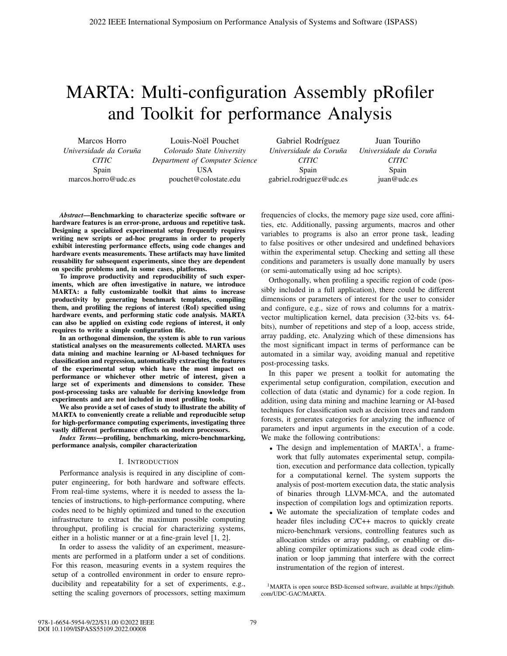# MARTA: Multi-configuration Assembly pRofiler and Toolkit for performance Analysis

Marcos Horro *Universidade da Coruna˜ CITIC* Spain marcos.horro@udc.es

Louis-Noël Pouchet *Colorado State University Department of Computer Science* USA pouchet@colostate.edu

Gabriel Rodríguez *Universidade da Coruna˜ CITIC* Spain gabriel.rodriguez@udc.es

Juan Touriño *Universidade da Coruna˜ CITIC* Spain juan@udc.es

*Abstract*—Benchmarking to characterize specific software or hardware features is an error-prone, arduous and repetitive task. Designing a specialized experimental setup frequently requires writing new scripts or ad-hoc programs in order to properly exhibit interesting performance effects, using code changes and hardware events measurements. These artifacts may have limited reusability for subsequent experiments, since they are dependent on specific problems and, in some cases, platforms.

To improve productivity and reproducibility of such experiments, which are often investigative in nature, we introduce MARTA: a fully customizable toolkit that aims to increase productivity by generating benchmark templates, compiling them, and profiling the regions of interest (RoI) specified using hardware events, and performing static code analysis. MARTA can also be applied on existing code regions of interest, it only requires to write a simple configuration file.

In an orthogonal dimension, the system is able to run various statistical analyses on the measurements collected. MARTA uses data mining and machine learning or AI-based techniques for classification and regression, automatically extracting the features of the experimental setup which have the most impact on performance or whichever other metric of interest, given a large set of experiments and dimensions to consider. These post-processing tasks are valuable for deriving knowledge from experiments and are not included in most profiling tools.

We also provide a set of cases of study to illustrate the ability of MARTA to conveniently create a reliable and reproducible setup for high-performance computing experiments, investigating three vastly different performance effects on modern processors.

*Index Terms*—profiling, benchmarking, micro-benchmarking, performance analysis, compiler characterization

### I. INTRODUCTION

Performance analysis is required in any discipline of computer engineering, for both hardware and software effects. From real-time systems, where it is needed to assess the latencies of instructions, to high-performance computing, where codes need to be highly optimized and tuned to the execution infrastructure to extract the maximum possible computing throughput, profiling is crucial for characterizing systems, either in a holistic manner or at a fine-grain level [1, 2].

In order to assess the validity of an experiment, measurements are performed in a platform under a set of conditions. For this reason, measuring events in a system requires the setup of a controlled environment in order to ensure reproducibility and repeatability for a set of experiments, e.g., setting the scaling governors of processors, setting maximum frequencies of clocks, the memory page size used, core affinities, etc. Additionally, passing arguments, macros and other variables to programs is also an error prone task, leading to false positives or other undesired and undefined behaviors within the experimental setup. Checking and setting all these conditions and parameters is usually done manually by users (or semi-automatically using ad hoc scripts).

Orthogonally, when profiling a specific region of code (possibly included in a full application), there could be different dimensions or parameters of interest for the user to consider and configure, e.g., size of rows and columns for a matrixvector multiplication kernel, data precision (32-bits vs. 64 bits), number of repetitions and step of a loop, access stride, array padding, etc. Analyzing which of these dimensions has the most significant impact in terms of performance can be automated in a similar way, avoiding manual and repetitive post-processing tasks.

In this paper we present a toolkit for automating the experimental setup configuration, compilation, execution and collection of data (static and dynamic) for a code region. In addition, using data mining and machine learning or AI-based techniques for classification such as decision trees and random forests, it generates categories for analyzing the influence of parameters and input arguments in the execution of a code. We make the following contributions:

- The design and implementation of  $MARTA<sup>1</sup>$ , a framework that fully automates experimental setup, compilation, execution and performance data collection, typically for a computational kernel. The system supports the analysis of post-mortem execution data, the static analysis of binaries through LLVM-MCA, and the automated inspection of compilation logs and optimization reports.
- We automate the specialization of template codes and header files including C/C++ macros to quickly create micro-benchmark versions, controlling features such as allocation strides or array padding, or enabling or disabling compiler optimizations such as dead code elimination or loop jamming that interfere with the correct instrumentation of the region of interest.

1MARTA is open source BSD-licensed software, available at https://github. com/UDC-GAC/MARTA.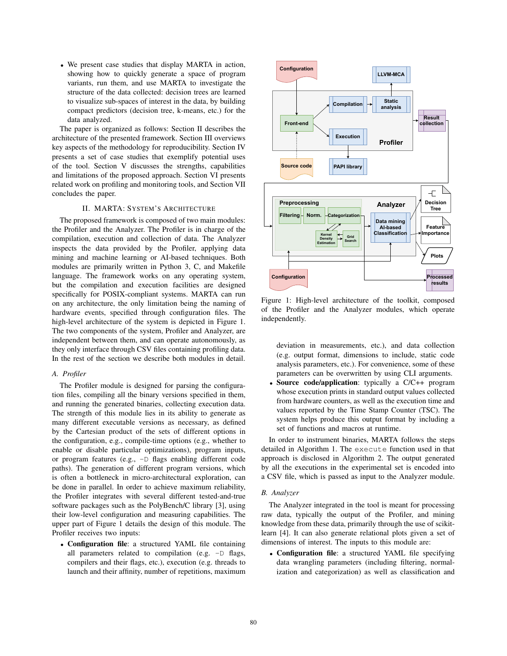• We present case studies that display MARTA in action, showing how to quickly generate a space of program variants, run them, and use MARTA to investigate the structure of the data collected: decision trees are learned to visualize sub-spaces of interest in the data, by building compact predictors (decision tree, k-means, etc.) for the data analyzed.

The paper is organized as follows: Section II describes the architecture of the presented framework. Section III overviews key aspects of the methodology for reproducibility. Section IV presents a set of case studies that exemplify potential uses of the tool. Section V discusses the strengths, capabilities and limitations of the proposed approach. Section VI presents related work on profiling and monitoring tools, and Section VII concludes the paper.

## II. MARTA: SYSTEM'S ARCHITECTURE

The proposed framework is composed of two main modules: the Profiler and the Analyzer. The Profiler is in charge of the compilation, execution and collection of data. The Analyzer inspects the data provided by the Profiler, applying data mining and machine learning or AI-based techniques. Both modules are primarily written in Python 3, C, and Makefile language. The framework works on any operating system, but the compilation and execution facilities are designed specifically for POSIX-compliant systems. MARTA can run on any architecture, the only limitation being the naming of hardware events, specified through configuration files. The high-level architecture of the system is depicted in Figure 1. The two components of the system, Profiler and Analyzer, are independent between them, and can operate autonomously, as they only interface through CSV files containing profiling data. In the rest of the section we describe both modules in detail.

### *A. Profiler*

The Profiler module is designed for parsing the configuration files, compiling all the binary versions specified in them, and running the generated binaries, collecting execution data. The strength of this module lies in its ability to generate as many different executable versions as necessary, as defined by the Cartesian product of the sets of different options in the configuration, e.g., compile-time options (e.g., whether to enable or disable particular optimizations), program inputs, or program features (e.g., -D flags enabling different code paths). The generation of different program versions, which is often a bottleneck in micro-architectural exploration, can be done in parallel. In order to achieve maximum reliability, the Profiler integrates with several different tested-and-true software packages such as the PolyBench/C library [3], using their low-level configuration and measuring capabilities. The upper part of Figure 1 details the design of this module. The Profiler receives two inputs:

• Configuration file: a structured YAML file containing all parameters related to compilation (e.g.  $-D$  flags, compilers and their flags, etc.), execution (e.g. threads to launch and their affinity, number of repetitions, maximum



Figure 1: High-level architecture of the toolkit, composed of the Profiler and the Analyzer modules, which operate independently.

deviation in measurements, etc.), and data collection (e.g. output format, dimensions to include, static code analysis parameters, etc.). For convenience, some of these parameters can be overwritten by using CLI arguments.

• Source code/application: typically a C/C++ program whose execution prints in standard output values collected from hardware counters, as well as the execution time and values reported by the Time Stamp Counter (TSC). The system helps produce this output format by including a set of functions and macros at runtime.

In order to instrument binaries, MARTA follows the steps detailed in Algorithm 1. The execute function used in that approach is disclosed in Algorithm 2. The output generated by all the executions in the experimental set is encoded into a CSV file, which is passed as input to the Analyzer module.

# *B. Analyzer*

The Analyzer integrated in the tool is meant for processing raw data, typically the output of the Profiler, and mining knowledge from these data, primarily through the use of scikitlearn [4]. It can also generate relational plots given a set of dimensions of interest. The inputs to this module are:

• Configuration file: a structured YAML file specifying data wrangling parameters (including filtering, normalization and categorization) as well as classification and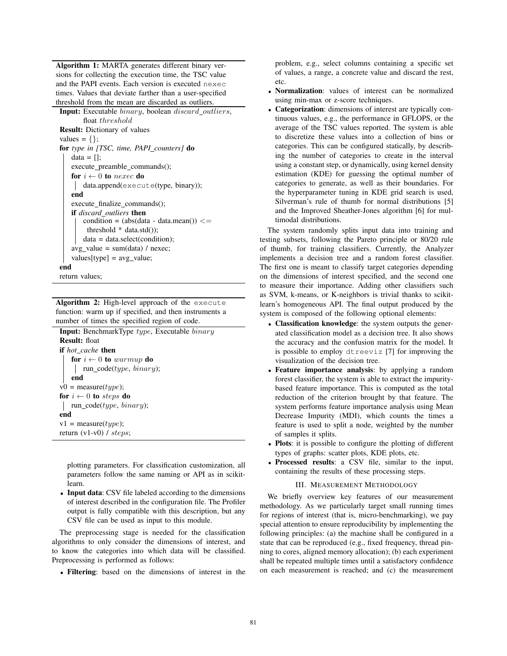Algorithm 1: MARTA generates different binary versions for collecting the execution time, the TSC value and the PAPI events. Each version is executed nexec times. Values that deviate farther than a user-specified threshold from the mean are discarded as outliers.

Input: Executable binary, boolean discard outliers, float threshold Result: Dictionary of values values  $= \{\}$ ; for *type in [TSC, time, PAPI counters]* do data  $=$   $\lceil$ : execute\_preamble\_commands(); for  $i \leftarrow 0$  to nexec do data.append(execute(type, binary)); end execute\_finalize\_commands(); if *discard outliers* then  $condition = (abs(data - data mean)) \leq$ threshold  $*$  data.std $()$ : data = data.select(condition); avg value =  $sum(data) / nexec;$ values[type] =  $avg_value;$ end return values;

Algorithm 2: High-level approach of the execute function: warm up if specified, and then instruments a number of times the specified region of code.

Input: BenchmarkType type, Executable binary Result: float if *hot cache* then for  $i \leftarrow 0$  to warmup do run\_code( $type, binary$ ); end  $v0 = measure(type);$ for  $i \leftarrow 0$  to steps do run\_code(type, binary); end  $v1 = measure(type);$ return (v1-v0) / steps;

plotting parameters. For classification customization, all parameters follow the same naming or API as in scikitlearn.

• Input data: CSV file labeled according to the dimensions of interest described in the configuration file. The Profiler output is fully compatible with this description, but any CSV file can be used as input to this module.

The preprocessing stage is needed for the classification algorithms to only consider the dimensions of interest, and to know the categories into which data will be classified. Preprocessing is performed as follows:

• Filtering: based on the dimensions of interest in the

problem, e.g., select columns containing a specific set of values, a range, a concrete value and discard the rest, etc.

- Normalization: values of interest can be normalized using min-max or z-score techniques.
- Categorization: dimensions of interest are typically continuous values, e.g., the performance in GFLOPS, or the average of the TSC values reported. The system is able to discretize these values into a collection of bins or categories. This can be configured statically, by describing the number of categories to create in the interval using a constant step, or dynamically, using kernel density estimation (KDE) for guessing the optimal number of categories to generate, as well as their boundaries. For the hyperparameter tuning in KDE grid search is used, Silverman's rule of thumb for normal distributions [5] and the Improved Sheather-Jones algorithm [6] for multimodal distributions.

The system randomly splits input data into training and testing subsets, following the Pareto principle or 80/20 rule of thumb, for training classifiers. Currently, the Analyzer implements a decision tree and a random forest classifier. The first one is meant to classify target categories depending on the dimensions of interest specified, and the second one to measure their importance. Adding other classifiers such as SVM, k-means, or K-neighbors is trivial thanks to scikitlearn's homogeneous API. The final output produced by the system is composed of the following optional elements:

- Classification knowledge: the system outputs the generated classification model as a decision tree. It also shows the accuracy and the confusion matrix for the model. It is possible to employ dtreeviz [7] for improving the visualization of the decision tree.
- Feature importance analysis: by applying a random forest classifier, the system is able to extract the impuritybased feature importance. This is computed as the total reduction of the criterion brought by that feature. The system performs feature importance analysis using Mean Decrease Impurity (MDI), which counts the times a feature is used to split a node, weighted by the number of samples it splits.
- Plots: it is possible to configure the plotting of different types of graphs: scatter plots, KDE plots, etc.
- Processed results: a CSV file, similar to the input, containing the results of these processing steps.

## III. MEASUREMENT METHODOLOGY

We briefly overview key features of our measurement methodology. As we particularly target small running times for regions of interest (that is, micro-benchmarking), we pay special attention to ensure reproducibility by implementing the following principles: (a) the machine shall be configured in a state that can be reproduced (e.g., fixed frequency, thread pinning to cores, aligned memory allocation); (b) each experiment shall be repeated multiple times until a satisfactory confidence on each measurement is reached; and (c) the measurement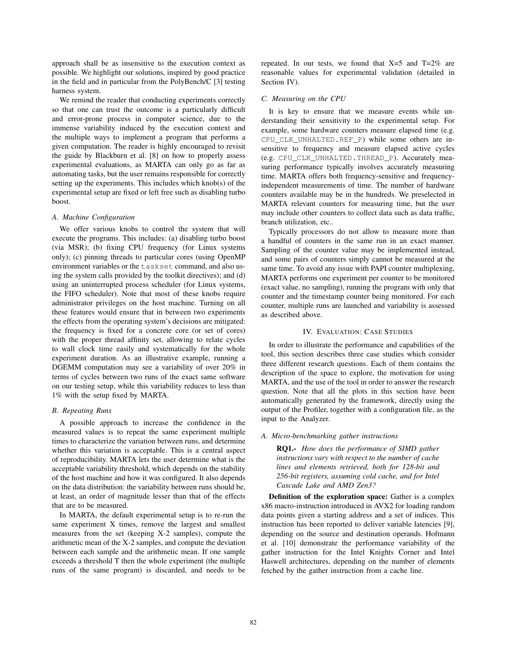approach shall be as insensitive to the execution context as possible. We highlight our solutions, inspired by good practice in the field and in particular from the PolyBench/C [3] testing harness system.

We remind the reader that conducting experiments correctly so that one can trust the outcome is a particularly difficult and error-prone process in computer science, due to the immense variability induced by the execution context and the multiple ways to implement a program that performs a given computation. The reader is highly encouraged to revisit the guide by Blackburn et al. [8] on how to properly assess experimental evaluations, as MARTA can only go as far as automating tasks, but the user remains responsible for correctly setting up the experiments. This includes which knob(s) of the experimental setup are fixed or left free such as disabling turbo boost.

## *A. Machine Configuration*

We offer various knobs to control the system that will execute the programs. This includes: (a) disabling turbo boost (via MSR); (b) fixing CPU frequency (for Linux systems only); (c) pinning threads to particular cores (using OpenMP environment variables or the taskset command, and also using the system calls provided by the toolkit directives); and (d) using an uninterrupted process scheduler (for Linux systems, the FIFO scheduler). Note that most of these knobs require administrator privileges on the host machine. Turning on all these features would ensure that in between two experiments the effects from the operating system's decisions are mitigated: the frequency is fixed for a concrete core (or set of cores) with the proper thread affinity set, allowing to relate cycles to wall clock time easily and systematically for the whole experiment duration. As an illustrative example, running a DGEMM computation may see a variability of over 20% in terms of cycles between two runs of the exact same software on our testing setup, while this variability reduces to less than 1% with the setup fixed by MARTA.

## *B. Repeating Runs*

A possible approach to increase the confidence in the measured values is to repeat the same experiment multiple times to characterize the variation between runs, and determine whether this variation is acceptable. This is a central aspect of reproducibility. MARTA lets the user determine what is the acceptable variability threshold, which depends on the stability of the host machine and how it was configured. It also depends on the data distribution: the variability between runs should be, at least, an order of magnitude lesser than that of the effects that are to be measured.

In MARTA, the default experimental setup is to re-run the same experiment X times, remove the largest and smallest measures from the set (keeping X-2 samples), compute the arithmetic mean of the X-2 samples, and compute the deviation between each sample and the arithmetic mean. If one sample exceeds a threshold T then the whole experiment (the multiple runs of the same program) is discarded, and needs to be

repeated. In our tests, we found that  $X=5$  and  $T=2\%$  are reasonable values for experimental validation (detailed in Section IV).

#### *C. Measuring on the CPU*

It is key to ensure that we measure events while understanding their sensitivity to the experimental setup. For example, some hardware counters measure elapsed time (e.g. CPU\_CLK\_UNHALTED.REF\_P) while some others are insensitive to frequency and measure elapsed active cycles (e.g. CPU\_CLK\_UNHALTED.THREAD\_P). Accurately measuring performance typically involves accurately measuring time. MARTA offers both frequency-sensitive and frequencyindependent measurements of time. The number of hardware counters available may be in the hundreds. We preselected in MARTA relevant counters for measuring time, but the user may include other counters to collect data such as data traffic, branch utilization, etc..

Typically processors do not allow to measure more than a handful of counters in the same run in an exact manner. Sampling of the counter value may be implemented instead, and some pairs of counters simply cannot be measured at the same time. To avoid any issue with PAPI counter multiplexing, MARTA performs one experiment per counter to be monitored (exact value, no sampling), running the program with only that counter and the timestamp counter being monitored. For each counter, multiple runs are launched and variability is assessed as described above.

# IV. EVALUATION: CASE STUDIES

In order to illustrate the performance and capabilities of the tool, this section describes three case studies which consider three different research questions. Each of them contains the description of the space to explore, the motivation for using MARTA, and the use of the tool in order to answer the research question. Note that all the plots in this section have been automatically generated by the framework, directly using the output of the Profiler, together with a configuration file, as the input to the Analyzer.

## *A. Micro-benchmarking gather instructions*

RQ1.- *How does the performance of SIMD gather instructions vary with respect to the number of cache lines and elements retrieved, both for 128-bit and 256-bit registers, assuming cold cache, and for Intel Cascade Lake and AMD Zen3?*

Definition of the exploration space: Gather is a complex x86 macro-instruction introduced in AVX2 for loading random data points given a starting address and a set of indices. This instruction has been reported to deliver variable latencies [9], depending on the source and destination operands. Hofmann et al. [10] demonstrate the performance variability of the gather instruction for the Intel Knights Corner and Intel Haswell architectures, depending on the number of elements fetched by the gather instruction from a cache line.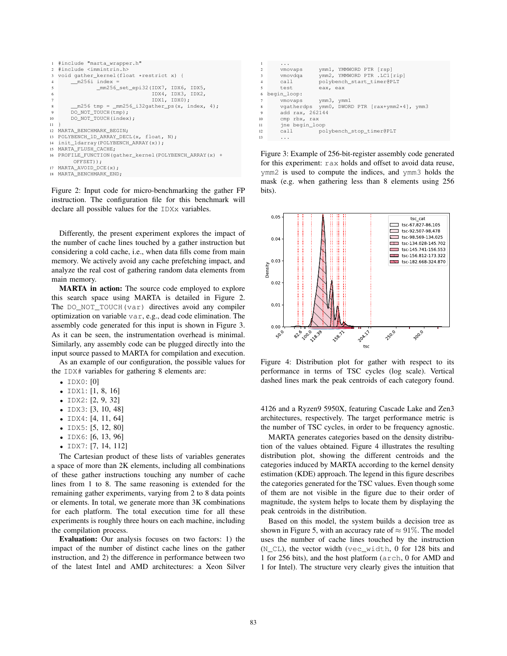```
1 #include "marta_wrapper.h"
  #include <immintrin.h>
  void gather kernel(float *restrict x) {
         m256i index =
                _mm256_set_epi32(IDX7, IDX6, IDX5,
                                  6 IDX4, IDX3, IDX2,
                                  7 IDX1, IDX0);
 8 __m256 tmp = _mm256_i32gather_ps(x, index, 4);
9 DO_NOT_TOUCH(tmp);
10 DO_NOT_TOUCH(index);
\overline{11}12 MARTA_BENCHMARK_BEGIN;
13 POLYBENCH_1D_ARRAY_DECL(x, float, N);
14 init_1darray(POLYBENCH_ARRAY(x));
15 MARTA_FLUSH_CACHE;
16 PROFILE_FUNCTION(gather_kernel(POLYBENCH_ARRAY(x) +
        OFFSET));
17 MARTA_AVOID_DCE(x);
18 MARTA BENCHMARK END:
```
Figure 2: Input code for micro-benchmarking the gather FP instruction. The configuration file for this benchmark will declare all possible values for the IDXx variables.

Differently, the present experiment explores the impact of the number of cache lines touched by a gather instruction but considering a cold cache, i.e., when data fills come from main memory. We actively avoid any cache prefetching impact, and analyze the real cost of gathering random data elements from main memory.

MARTA in action: The source code employed to explore this search space using MARTA is detailed in Figure 2. The DO\_NOT\_TOUCH(var) directives avoid any compiler optimization on variable var, e.g., dead code elimination. The assembly code generated for this input is shown in Figure 3. As it can be seen, the instrumentation overhead is minimal. Similarly, any assembly code can be plugged directly into the input source passed to MARTA for compilation and execution.

As an example of our configuration, the possible values for the IDX# variables for gathering 8 elements are:

- IDX0: [0]
- IDX1: [1, 8, 16]
- IDX2: [2, 9, 32]
- IDX3: [3, 10, 48]
- IDX4: [4, 11, 64]
- IDX5: [5, 12, 80]
- IDX6: [6, 13, 96]
- IDX7: [7, 14, 112]

The Cartesian product of these lists of variables generates a space of more than 2K elements, including all combinations of these gather instructions touching any number of cache lines from 1 to 8. The same reasoning is extended for the remaining gather experiments, varying from 2 to 8 data points or elements. In total, we generate more than 3K combinations for each platform. The total execution time for all these experiments is roughly three hours on each machine, including the compilation process.

Evaluation: Our analysis focuses on two factors: 1) the impact of the number of distinct cache lines on the gather instruction, and 2) the difference in performance between two of the latest Intel and AMD architectures: a Xeon Silver

| -1                      | .                                             |  |  |  |  |  |  |
|-------------------------|-----------------------------------------------|--|--|--|--|--|--|
| 2                       | ymm1, YMMWORD PTR [rsp]<br>vmovaps            |  |  |  |  |  |  |
| $\overline{\mathbf{3}}$ | ymm2, YMMWORD PTR .LC1[rip]<br>vmovdga        |  |  |  |  |  |  |
| $\overline{4}$          | polybench_start_timer@PLT<br>call             |  |  |  |  |  |  |
| $\sim$                  | test<br>eax, eax                              |  |  |  |  |  |  |
| 6                       | begin loop:                                   |  |  |  |  |  |  |
| 7                       | vmovaps vmm3, ymm1                            |  |  |  |  |  |  |
| 8                       | vgatherdps ymm0, DWORD PTR [rax+ymm2*4], ymm3 |  |  |  |  |  |  |
| $\overline{9}$          | add rax, 262144                               |  |  |  |  |  |  |
| 10                      | cmp rbx, rax                                  |  |  |  |  |  |  |
| 11                      | ine begin loop                                |  |  |  |  |  |  |
| 12                      | polybench_stop_timer@PLT<br>call              |  |  |  |  |  |  |
| 13                      | .                                             |  |  |  |  |  |  |

Figure 3: Example of 256-bit-register assembly code generated for this experiment: rax holds and offset to avoid data reuse, ymm2 is used to compute the indices, and ymm3 holds the mask (e.g. when gathering less than 8 elements using 256 bits).



Figure 4: Distribution plot for gather with respect to its performance in terms of TSC cycles (log scale). Vertical dashed lines mark the peak centroids of each category found.

4126 and a Ryzen9 5950X, featuring Cascade Lake and Zen3 architectures, respectively. The target performance metric is the number of TSC cycles, in order to be frequency agnostic.

MARTA generates categories based on the density distribution of the values obtained. Figure 4 illustrates the resulting distribution plot, showing the different centroids and the categories induced by MARTA according to the kernel density estimation (KDE) approach. The legend in this figure describes the categories generated for the TSC values. Even though some of them are not visible in the figure due to their order of magnitude, the system helps to locate them by displaying the peak centroids in the distribution.

Based on this model, the system builds a decision tree as shown in Figure 5, with an accuracy rate of  $\approx 91\%$ . The model uses the number of cache lines touched by the instruction (N\_CL), the vector width (vec\_width, 0 for 128 bits and 1 for 256 bits), and the host platform (arch, 0 for AMD and 1 for Intel). The structure very clearly gives the intuition that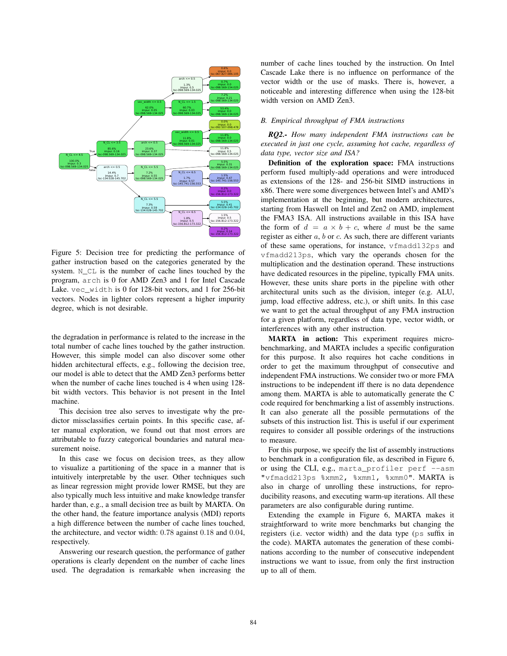

Figure 5: Decision tree for predicting the performance of gather instruction based on the categories generated by the system. N\_CL is the number of cache lines touched by the program, arch is 0 for AMD Zen3 and 1 for Intel Cascade Lake. vec\_width is 0 for 128-bit vectors, and 1 for 256-bit vectors. Nodes in lighter colors represent a higher impurity degree, which is not desirable.

the degradation in performance is related to the increase in the total number of cache lines touched by the gather instruction. However, this simple model can also discover some other hidden architectural effects, e.g., following the decision tree, our model is able to detect that the AMD Zen3 performs better when the number of cache lines touched is 4 when using 128 bit width vectors. This behavior is not present in the Intel machine.

This decision tree also serves to investigate why the predictor missclassifies certain points. In this specific case, after manual exploration, we found out that most errors are attributable to fuzzy categorical boundaries and natural measurement noise.

In this case we focus on decision trees, as they allow to visualize a partitioning of the space in a manner that is intuitively interpretable by the user. Other techniques such as linear regression might provide lower RMSE, but they are also typically much less intuitive and make knowledge transfer harder than, e.g., a small decision tree as built by MARTA. On the other hand, the feature importance analysis (MDI) reports a high difference between the number of cache lines touched, the architecture, and vector width: 0.78 against 0.18 and 0.04, respectively.

Answering our research question, the performance of gather operations is clearly dependent on the number of cache lines used. The degradation is remarkable when increasing the number of cache lines touched by the instruction. On Intel Cascade Lake there is no influence on performance of the vector width or the use of masks. There is, however, a noticeable and interesting difference when using the 128-bit width version on AMD Zen3.

# *B. Empirical throughput of FMA instructions*

*RQ2.- How many independent FMA instructions can be executed in just one cycle, assuming hot cache, regardless of data type, vector size and ISA?*

Definition of the exploration space: FMA instructions perform fused multiply-add operations and were introduced as extensions of the 128- and 256-bit SIMD instructions in x86. There were some divergences between Intel's and AMD's implementation at the beginning, but modern architectures, starting from Haswell on Intel and Zen2 on AMD, implement the FMA3 ISA. All instructions available in this ISA have the form of  $d = a \times b + c$ , where d must be the same register as either  $a$ ,  $b$  or  $c$ . As such, there are different variants of these same operations, for instance, vfmadd132ps and vfmadd213ps, which vary the operands chosen for the multiplication and the destination operand. These instructions have dedicated resources in the pipeline, typically FMA units. However, these units share ports in the pipeline with other architectural units such as the division, integer (e.g. ALU, jump, load effective address, etc.), or shift units. In this case we want to get the actual throughput of any FMA instruction for a given platform, regardless of data type, vector width, or interferences with any other instruction.

MARTA in action: This experiment requires microbenchmarking, and MARTA includes a specific configuration for this purpose. It also requires hot cache conditions in order to get the maximum throughput of consecutive and independent FMA instructions. We consider two or more FMA instructions to be independent iff there is no data dependence among them. MARTA is able to automatically generate the C code required for benchmarking a list of assembly instructions. It can also generate all the possible permutations of the subsets of this instruction list. This is useful if our experiment requires to consider all possible orderings of the instructions to measure.

For this purpose, we specify the list of assembly instructions to benchmark in a configuration file, as described in Figure 6, or using the CLI, e.g., marta\_profiler perf --asm "vfmadd213ps %xmm2, %xmm1, %xmm0". MARTA is also in charge of unrolling these instructions, for reproducibility reasons, and executing warm-up iterations. All these parameters are also configurable during runtime.

Extending the example in Figure 6, MARTA makes it straightforward to write more benchmarks but changing the registers (i.e. vector width) and the data type (ps suffix in the code). MARTA automates the generation of these combinations according to the number of consecutive independent instructions we want to issue, from only the first instruction up to all of them.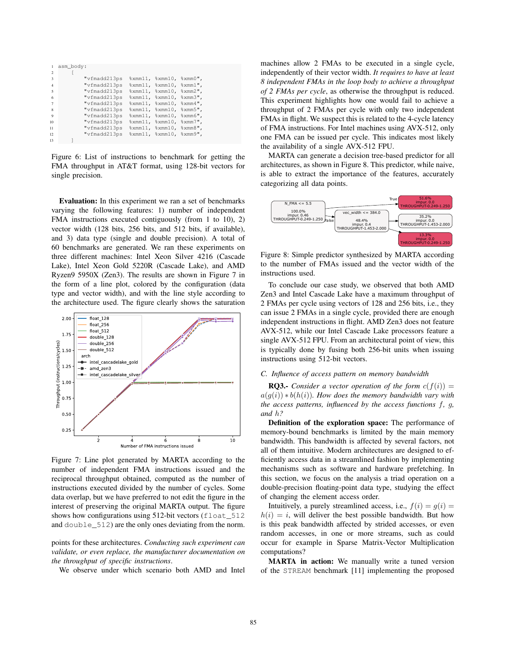| $\mathbf{1}$    | asm body: |                                      |                                                             |  |
|-----------------|-----------|--------------------------------------|-------------------------------------------------------------|--|
| $\mathfrak{D}$  |           |                                      |                                                             |  |
| $\mathbf{3}$    |           | "vfmadd213ps                         | $\mathrm{symm11,}$ $\mathrm{symm10,}$ $\mathrm{symm0"}$ ,   |  |
| $\overline{4}$  |           | "vfmadd213ps                         | $\mathrm{symm11}$ , $\mathrm{symm10}$ , $\mathrm{symm1}$ ", |  |
| 5               |           | "vfmadd213ps %xmm11, %xmm10, %xmm2", |                                                             |  |
| 6               |           | "vfmadd213ps                         | $\mathrm{symm11}$ , $\mathrm{symm10}$ , $\mathrm{symm3}$ ", |  |
| 7               |           | "vfmadd213ps                         | $\mathrm{symm11}$ , $\mathrm{symm10}$ , $\mathrm{symm4}$ ", |  |
| $\mathbf{8}$    |           | "vfmadd213ps                         | $\mathrm{symm11}$ , $\mathrm{symm10}$ , $\mathrm{symm5}$ ", |  |
| $\overline{9}$  |           | "vfmadd213ps                         | $\mathrm{symm11.} \$ xmm $10.$ $\mathrm{symm6}$ ",          |  |
| 10              |           | "vfmadd213ps                         | $\mathrm{Kmm11}$ , $\mathrm{Kmm10}$ , $\mathrm{Kmm7}$ ",    |  |
| $\overline{11}$ |           | "vfmadd213ps                         | $\mathrm{symm11}$ , $\mathrm{symm10}$ , $\mathrm{symm8}$ ", |  |
| 12              |           | "vfmadd213ps                         | $\mathrm{symm11.} \$ xmm $10.$ $\mathrm{symm9"}.$           |  |
| 13              |           |                                      |                                                             |  |

Figure 6: List of instructions to benchmark for getting the FMA throughput in AT&T format, using 128-bit vectors for single precision.

Evaluation: In this experiment we ran a set of benchmarks varying the following features: 1) number of independent FMA instructions executed contiguously (from 1 to 10), 2) vector width (128 bits, 256 bits, and 512 bits, if available), and 3) data type (single and double precision). A total of 60 benchmarks are generated. We ran these experiments on three different machines: Intel Xeon Silver 4216 (Cascade Lake), Intel Xeon Gold 5220R (Cascade Lake), and AMD Ryzen9 5950X (Zen3). The results are shown in Figure 7 in the form of a line plot, colored by the configuration (data type and vector width), and with the line style according to the architecture used. The figure clearly shows the saturation



Figure 7: Line plot generated by MARTA according to the number of independent FMA instructions issued and the reciprocal throughput obtained, computed as the number of instructions executed divided by the number of cycles. Some data overlap, but we have preferred to not edit the figure in the interest of preserving the original MARTA output. The figure shows how configurations using 512-bit vectors (float\_512) and double\_512) are the only ones deviating from the norm.

points for these architectures. *Conducting such experiment can validate, or even replace, the manufacturer documentation on the throughput of specific instructions*.

We observe under which scenario both AMD and Intel

machines allow 2 FMAs to be executed in a single cycle, independently of their vector width. *It requires to have at least 8 independent FMAs in the loop body to achieve a throughput of 2 FMAs per cycle*, as otherwise the throughput is reduced. This experiment highlights how one would fail to achieve a throughput of 2 FMAs per cycle with only two independent FMAs in flight. We suspect this is related to the 4-cycle latency of FMA instructions. For Intel machines using AVX-512, only one FMA can be issued per cycle. This indicates most likely the availability of a single AVX-512 FPU.

MARTA can generate a decision tree-based predictor for all architectures, as shown in Figure 8. This predictor, while naive, is able to extract the importance of the features, accurately categorizing all data points.



Figure 8: Simple predictor synthesized by MARTA according to the number of FMAs issued and the vector width of the instructions used.

To conclude our case study, we observed that both AMD Zen3 and Intel Cascade Lake have a maximum throughput of 2 FMAs per cycle using vectors of 128 and 256 bits, i.e., they can issue 2 FMAs in a single cycle, provided there are enough independent instructions in flight. AMD Zen3 does not feature AVX-512, while our Intel Cascade Lake processors feature a single AVX-512 FPU. From an architectural point of view, this is typically done by fusing both 256-bit units when issuing instructions using 512-bit vectors.

# *C. Influence of access pattern on memory bandwidth*

**RQ3.-** *Consider a vector operation of the form*  $c(f(i)) =$  $a(g(i)) * b(h(i))$ *. How does the memory bandwidth vary with the access patterns, influenced by the access functions* f*,* g*, and* h*?*

Definition of the exploration space: The performance of memory-bound benchmarks is limited by the main memory bandwidth. This bandwidth is affected by several factors, not all of them intuitive. Modern architectures are designed to efficiently access data in a streamlined fashion by implementing mechanisms such as software and hardware prefetching. In this section, we focus on the analysis a triad operation on a double-precision floating-point data type, studying the effect of changing the element access order.

Intuitively, a purely streamlined access, i.e.,  $f(i) = g(i)$  $h(i) = i$ , will deliver the best possible bandwidth. But how is this peak bandwidth affected by strided accesses, or even random accesses, in one or more streams, such as could occur for example in Sparse Matrix-Vector Multiplication computations?

MARTA in action: We manually write a tuned version of the STREAM benchmark [11] implementing the proposed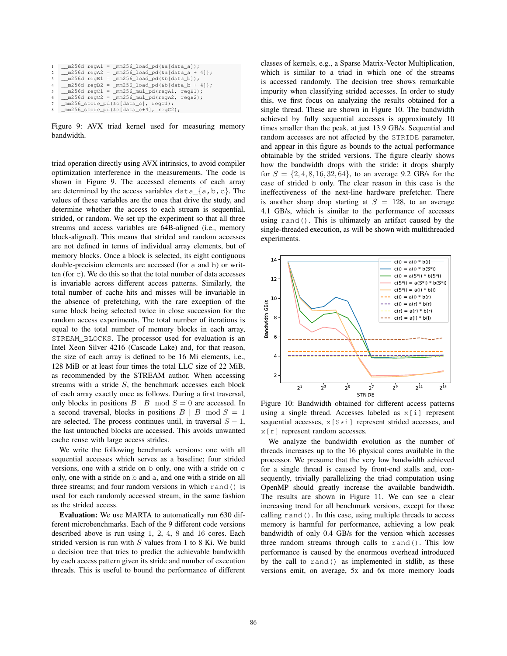```
_m256d regA1 = \text{mm}256\text{load\_pd}(&a[data_a]);
m256d regA2 = mm256 load pd(&a[data_a + 4]);
 \texttt{m256d} \text{regB1} = \texttt{mm256\_load\_pd}(&b[data_b]);<br>m256d regB2 = mm256 load pd(&b[data b +
                      \frac{1}{2} mm256_load_pd(&b[data_b + 4]);
  _m256d regC1 = _mm256_mul_pd(regA1, regB1);
  \frac{1}{2}m256d regC2 = \frac{1}{2}mm256_mul_pd(regA2, regB2);
mm256 store pd(&c[data_c], regC1);
```


Figure 9: AVX triad kernel used for measuring memory bandwidth.

triad operation directly using AVX intrinsics, to avoid compiler optimization interference in the measurements. The code is shown in Figure 9. The accessed elements of each array are determined by the access variables  $data_{a}$ , b, c}. The values of these variables are the ones that drive the study, and determine whether the access to each stream is sequential, strided, or random. We set up the experiment so that all three streams and access variables are 64B-aligned (i.e., memory block-aligned). This means that strided and random accesses are not defined in terms of individual array elements, but of memory blocks. Once a block is selected, its eight contiguous double-precision elements are accessed (for a and b) or written (for c). We do this so that the total number of data accesses is invariable across different access patterns. Similarly, the total number of cache hits and misses will be invariable in the absence of prefetching, with the rare exception of the same block being selected twice in close succession for the random access experiments. The total number of iterations is equal to the total number of memory blocks in each array, STREAM\_BLOCKS. The processor used for evaluation is an Intel Xeon Silver 4216 (Cascade Lake) and, for that reason, the size of each array is defined to be 16 Mi elements, i.e., 128 MiB or at least four times the total LLC size of 22 MiB, as recommended by the STREAM author. When accessing streams with a stride S, the benchmark accesses each block of each array exactly once as follows. During a first traversal, only blocks in positions  $B \mid B \mod S = 0$  are accessed. In a second traversal, blocks in positions  $B \mid B \mod S = 1$ are selected. The process continues until, in traversal  $S - 1$ , the last untouched blocks are accessed. This avoids unwanted cache reuse with large access strides.

We write the following benchmark versions: one with all sequential accesses which serves as a baseline; four strided versions, one with a stride on b only, one with a stride on c only, one with a stride on b and a, and one with a stride on all three streams; and four random versions in which rand() is used for each randomly accessed stream, in the same fashion as the strided access.

Evaluation: We use MARTA to automatically run 630 different microbenchmarks. Each of the 9 different code versions described above is run using 1, 2, 4, 8 and 16 cores. Each strided version is run with  $S$  values from 1 to 8 Ki. We build a decision tree that tries to predict the achievable bandwidth by each access pattern given its stride and number of execution threads. This is useful to bound the performance of different classes of kernels, e.g., a Sparse Matrix-Vector Multiplication, which is similar to a triad in which one of the streams is accessed randomly. The decision tree shows remarkable impurity when classifying strided accesses. In order to study this, we first focus on analyzing the results obtained for a single thread. These are shown in Figure 10. The bandwidth achieved by fully sequential accesses is approximately 10 times smaller than the peak, at just 13.9 GB/s. Sequential and random accesses are not affected by the STRIDE parameter, and appear in this figure as bounds to the actual performance obtainable by the strided versions. The figure clearly shows how the bandwidth drops with the stride: it drops sharply for  $S = \{2, 4, 8, 16, 32, 64\}$ , to an average 9.2 GB/s for the case of strided b only. The clear reason in this case is the ineffectiveness of the next-line hardware prefetcher. There is another sharp drop starting at  $S = 128$ , to an average 4.1 GB/s, which is similar to the performance of accesses using rand(). This is ultimately an artifact caused by the single-threaded execution, as will be shown with multithreaded experiments.



Figure 10: Bandwidth obtained for different access patterns using a single thread. Accesses labeled as  $x[i]$  represent sequential accesses,  $x[S*1]$  represent strided accesses, and  $x[r]$  represent random accesses.

We analyze the bandwidth evolution as the number of threads increases up to the 16 physical cores available in the processor. We presume that the very low bandwidth achieved for a single thread is caused by front-end stalls and, consequently, trivially parallelizing the triad computation using OpenMP should greatly increase the available bandwidth. The results are shown in Figure 11. We can see a clear increasing trend for all benchmark versions, except for those calling rand(). In this case, using multiple threads to access memory is harmful for performance, achieving a low peak bandwidth of only 0.4 GB/s for the version which accesses three random streams through calls to rand(). This low performance is caused by the enormous overhead introduced by the call to rand() as implemented in stdlib, as these versions emit, on average, 5x and 6x more memory loads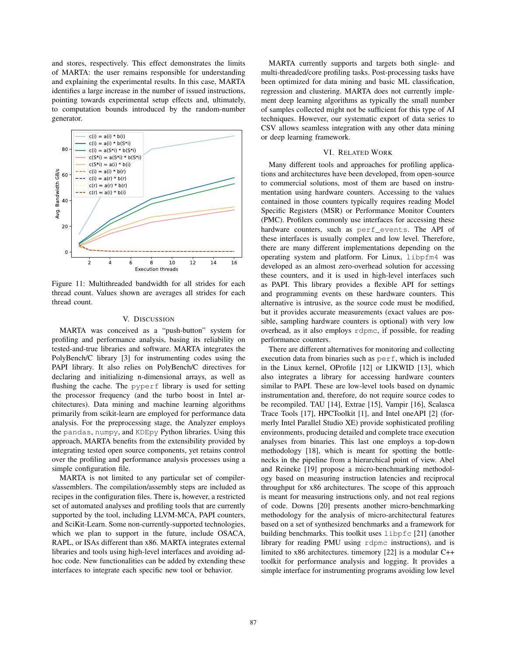and stores, respectively. This effect demonstrates the limits of MARTA: the user remains responsible for understanding and explaining the experimental results. In this case, MARTA identifies a large increase in the number of issued instructions, pointing towards experimental setup effects and, ultimately, to computation bounds introduced by the random-number generator.



Figure 11: Multithreaded bandwidth for all strides for each thread count. Values shown are averages all strides for each thread count.

#### V. DISCUSSION

MARTA was conceived as a "push-button" system for profiling and performance analysis, basing its reliability on tested-and-true libraries and software. MARTA integrates the PolyBench/C library [3] for instrumenting codes using the PAPI library. It also relies on PolyBench/C directives for declaring and initializing n-dimensional arrays, as well as flushing the cache. The pyperf library is used for setting the processor frequency (and the turbo boost in Intel architectures). Data mining and machine learning algorithms primarily from scikit-learn are employed for performance data analysis. For the preprocessing stage, the Analyzer employs the pandas, numpy, and KDEpy Python libraries. Using this approach, MARTA benefits from the extensibility provided by integrating tested open source components, yet retains control over the profiling and performance analysis processes using a simple configuration file.

MARTA is not limited to any particular set of compilers/assemblers. The compilation/assembly steps are included as recipes in the configuration files. There is, however, a restricted set of automated analyses and profiling tools that are currently supported by the tool, including LLVM-MCA, PAPI counters, and SciKit-Learn. Some non-currently-supported technologies, which we plan to support in the future, include OSACA, RAPL, or ISAs different than x86. MARTA integrates external libraries and tools using high-level interfaces and avoiding adhoc code. New functionalities can be added by extending these interfaces to integrate each specific new tool or behavior.

MARTA currently supports and targets both single- and multi-threaded/core profiling tasks. Post-processing tasks have been optimized for data mining and basic ML classification, regression and clustering. MARTA does not currently implement deep learning algorithms as typically the small number of samples collected might not be sufficient for this type of AI techniques. However, our systematic export of data series to CSV allows seamless integration with any other data mining or deep learning framework.

## VI. RELATED WORK

Many different tools and approaches for profiling applications and architectures have been developed, from open-source to commercial solutions, most of them are based on instrumentation using hardware counters. Accessing to the values contained in those counters typically requires reading Model Specific Registers (MSR) or Performance Monitor Counters (PMC). Profilers commonly use interfaces for accessing these hardware counters, such as perf\_events. The API of these interfaces is usually complex and low level. Therefore, there are many different implementations depending on the operating system and platform. For Linux, libpfm4 was developed as an almost zero-overhead solution for accessing these counters, and it is used in high-level interfaces such as PAPI. This library provides a flexible API for settings and programming events on these hardware counters. This alternative is intrusive, as the source code must be modified, but it provides accurate measurements (exact values are possible, sampling hardware counters is optional) with very low overhead, as it also employs rdpmc, if possible, for reading performance counters.

There are different alternatives for monitoring and collecting execution data from binaries such as perf, which is included in the Linux kernel, OProfile [12] or LIKWID [13], which also integrates a library for accessing hardware counters similar to PAPI. These are low-level tools based on dynamic instrumentation and, therefore, do not require source codes to be recompiled. TAU [14], Extrae [15], Vampir [16], Scalasca Trace Tools [17], HPCToolkit [1], and Intel oneAPI [2] (formerly Intel Parallel Studio XE) provide sophisticated profiling environments, producing detailed and complete trace execution analyses from binaries. This last one employs a top-down methodology [18], which is meant for spotting the bottlenecks in the pipeline from a hierarchical point of view. Abel and Reineke [19] propose a micro-benchmarking methodology based on measuring instruction latencies and reciprocal throughput for x86 architectures. The scope of this approach is meant for measuring instructions only, and not real regions of code. Downs [20] presents another micro-benchmarking methodology for the analysis of micro-architectural features based on a set of synthesized benchmarks and a framework for building benchmarks. This toolkit uses libpfc [21] (another library for reading PMU using rdpmc instructions), and is limited to x86 architectures. timemory [22] is a modular C++ toolkit for performance analysis and logging. It provides a simple interface for instrumenting programs avoiding low level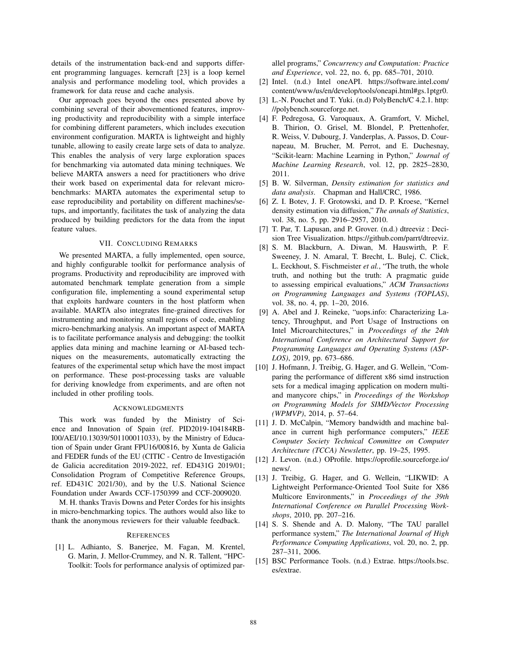details of the instrumentation back-end and supports different programming languages. kerncraft [23] is a loop kernel analysis and performance modeling tool, which provides a framework for data reuse and cache analysis.

Our approach goes beyond the ones presented above by combining several of their abovementioned features, improving productivity and reproducibility with a simple interface for combining different parameters, which includes execution environment configuration. MARTA is lightweight and highly tunable, allowing to easily create large sets of data to analyze. This enables the analysis of very large exploration spaces for benchmarking via automated data mining techniques. We believe MARTA answers a need for practitioners who drive their work based on experimental data for relevant microbenchmarks: MARTA automates the experimental setup to ease reproducibility and portability on different machines/setups, and importantly, facilitates the task of analyzing the data produced by building predictors for the data from the input feature values.

# VII. CONCLUDING REMARKS

We presented MARTA, a fully implemented, open source, and highly configurable toolkit for performance analysis of programs. Productivity and reproducibility are improved with automated benchmark template generation from a simple configuration file, implementing a sound experimental setup that exploits hardware counters in the host platform when available. MARTA also integrates fine-grained directives for instrumenting and monitoring small regions of code, enabling micro-benchmarking analysis. An important aspect of MARTA is to facilitate performance analysis and debugging: the toolkit applies data mining and machine learning or AI-based techniques on the measurements, automatically extracting the features of the experimental setup which have the most impact on performance. These post-processing tasks are valuable for deriving knowledge from experiments, and are often not included in other profiling tools.

#### ACKNOWLEDGMENTS

This work was funded by the Ministry of Science and Innovation of Spain (ref. PID2019-104184RB-I00/AEI/10.13039/501100011033), by the Ministry of Education of Spain under Grant FPU16/00816, by Xunta de Galicia and FEDER funds of the EU (CITIC - Centro de Investigacion´ de Galicia accreditation 2019-2022, ref. ED431G 2019/01; Consolidation Program of Competitive Reference Groups, ref. ED431C 2021/30), and by the U.S. National Science Foundation under Awards CCF-1750399 and CCF-2009020.

M. H. thanks Travis Downs and Peter Cordes for his insights in micro-benchmarking topics. The authors would also like to thank the anonymous reviewers for their valuable feedback.

### **REFERENCES**

[1] L. Adhianto, S. Banerjee, M. Fagan, M. Krentel, G. Marin, J. Mellor-Crummey, and N. R. Tallent, "HPC-Toolkit: Tools for performance analysis of optimized parallel programs," *Concurrency and Computation: Practice and Experience*, vol. 22, no. 6, pp. 685–701, 2010.

- [2] Intel. (n.d.) Intel oneAPI. https://software.intel.com/ content/www/us/en/develop/tools/oneapi.html#gs.1ptgr0.
- [3] L.-N. Pouchet and T. Yuki. (n.d) PolyBench/C 4.2.1. http: //polybench.sourceforge.net.
- [4] F. Pedregosa, G. Varoquaux, A. Gramfort, V. Michel, B. Thirion, O. Grisel, M. Blondel, P. Prettenhofer, R. Weiss, V. Dubourg, J. Vanderplas, A. Passos, D. Cournapeau, M. Brucher, M. Perrot, and E. Duchesnay, "Scikit-learn: Machine Learning in Python," *Journal of Machine Learning Research*, vol. 12, pp. 2825–2830, 2011.
- [5] B. W. Silverman, *Density estimation for statistics and data analysis*. Chapman and Hall/CRC, 1986.
- [6] Z. I. Botev, J. F. Grotowski, and D. P. Kroese, "Kernel density estimation via diffusion," *The annals of Statistics*, vol. 38, no. 5, pp. 2916–2957, 2010.
- [7] T. Par, T. Lapusan, and P. Grover. (n.d.) dtreeviz : Decision Tree Visualization. https://github.com/parrt/dtreeviz.
- [8] S. M. Blackburn, A. Diwan, M. Hauswirth, P. F. Sweeney, J. N. Amaral, T. Brecht, L. Bulej, C. Click, L. Eeckhout, S. Fischmeister *et al.*, "The truth, the whole truth, and nothing but the truth: A pragmatic guide to assessing empirical evaluations," *ACM Transactions on Programming Languages and Systems (TOPLAS)*, vol. 38, no. 4, pp. 1–20, 2016.
- [9] A. Abel and J. Reineke, "uops.info: Characterizing Latency, Throughput, and Port Usage of Instructions on Intel Microarchitectures," in *Proceedings of the 24th International Conference on Architectural Support for Programming Languages and Operating Systems (ASP-LOS)*, 2019, pp. 673–686.
- [10] J. Hofmann, J. Treibig, G. Hager, and G. Wellein, "Comparing the performance of different x86 simd instruction sets for a medical imaging application on modern multiand manycore chips," in *Proceedings of the Workshop on Programming Models for SIMD/Vector Processing (WPMVP)*, 2014, p. 57–64.
- [11] J. D. McCalpin, "Memory bandwidth and machine balance in current high performance computers," *IEEE Computer Society Technical Committee on Computer Architecture (TCCA) Newsletter*, pp. 19–25, 1995.
- [12] J. Levon. (n.d.) OProfile. https://oprofile.sourceforge.io/ news/.
- [13] J. Treibig, G. Hager, and G. Wellein, "LIKWID: A Lightweight Performance-Oriented Tool Suite for X86 Multicore Environments," in *Proceedings of the 39th International Conference on Parallel Processing Workshops*, 2010, pp. 207–216.
- [14] S. S. Shende and A. D. Malony, "The TAU parallel performance system," *The International Journal of High Performance Computing Applications*, vol. 20, no. 2, pp. 287–311, 2006.
- [15] BSC Performance Tools. (n.d.) Extrae. https://tools.bsc. es/extrae.